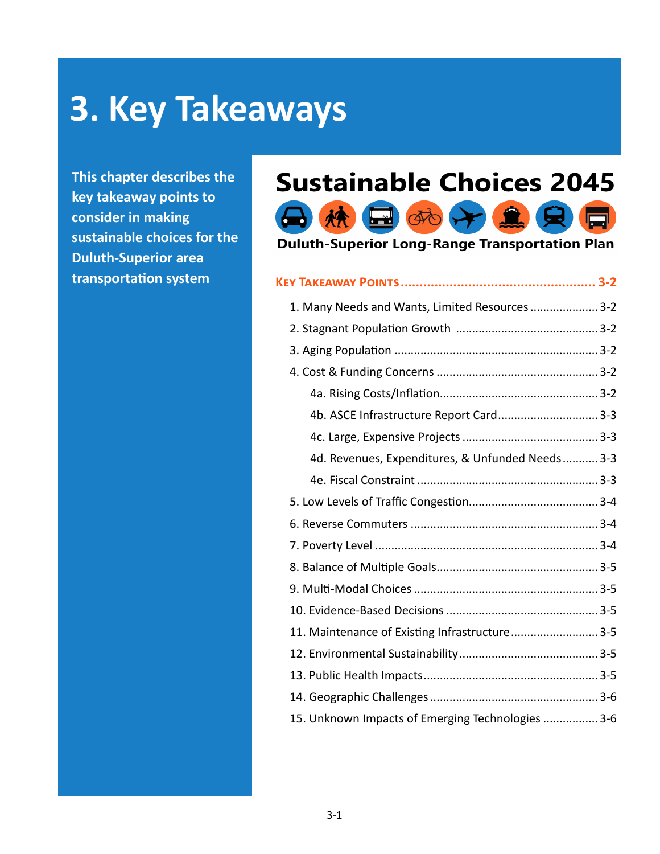# **3. Key Takeaways**

**This chapter describes the key takeaway points to consider in making sustainable choices for the Duluth-Superior area transportation system**

# **Sustainable Choices 2045**



**Duluth-Superior Long-Range Transportation Plan** 

# **Key Takeaway Points.................................................... 3-2**

| 1. Many Needs and Wants, Limited Resources 3-2    |  |
|---------------------------------------------------|--|
|                                                   |  |
|                                                   |  |
|                                                   |  |
|                                                   |  |
| 4b. ASCE Infrastructure Report Card 3-3           |  |
|                                                   |  |
| 4d. Revenues, Expenditures, & Unfunded Needs 3-3  |  |
|                                                   |  |
|                                                   |  |
|                                                   |  |
|                                                   |  |
|                                                   |  |
|                                                   |  |
|                                                   |  |
| 11. Maintenance of Existing Infrastructure 3-5    |  |
|                                                   |  |
|                                                   |  |
|                                                   |  |
| 15. Unknown Impacts of Emerging Technologies  3-6 |  |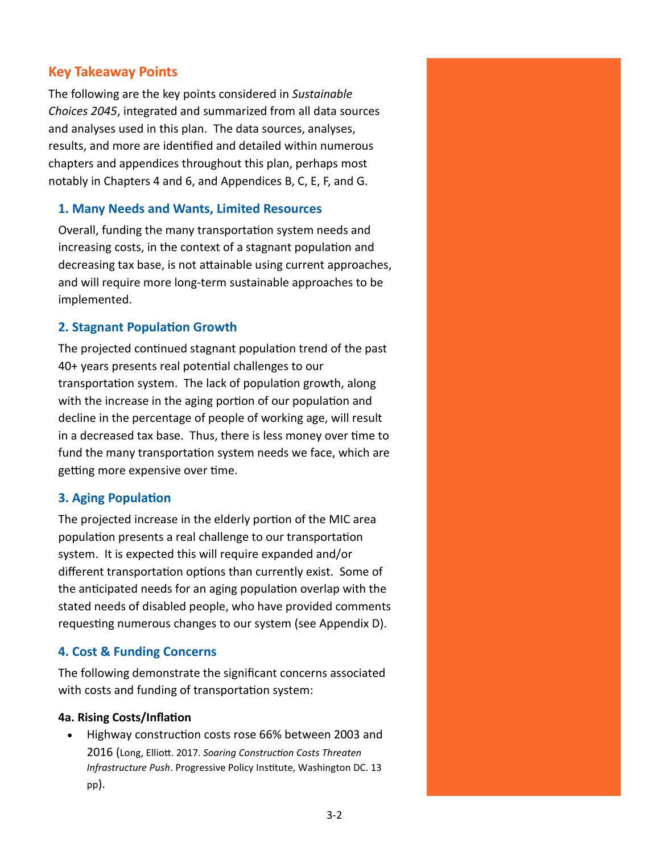# **Key Takeaway Points**

The following are the key points considered in *Sustainable Choices 2045*, integrated and summarized from all data sources and analyses used in this plan. The data sources, analyses, results, and more are identified and detailed within numerous chapters and appendices throughout this plan, perhaps most notably in Chapters 4 and 6, and Appendices B, C, E, F, and G.

# **1. Many Needs and Wants, Limited Resources**

Overall, funding the many transportation system needs and increasing costs, in the context of a stagnant population and decreasing tax base, is not attainable using current approaches, and will require more long-term sustainable approaches to be implemented.

# **2. Stagnant Population Growth**

The projected continued stagnant population trend of the past 40+ years presents real potential challenges to our transportation system. The lack of population growth, along with the increase in the aging portion of our population and decline in the percentage of people of working age, will result in a decreased tax base. Thus, there is less money over time to fund the many transportation system needs we face, which are getting more expensive over time.

# **3. Aging Population**

The projected increase in the elderly portion of the MIC area population presents a real challenge to our transportation system. It is expected this will require expanded and/or different transportation options than currently exist. Some of the anticipated needs for an aging population overlap with the stated needs of disabled people, who have provided comments requesting numerous changes to our system (see Appendix D).

# **4. Cost & Funding Concerns**

The following demonstrate the significant concerns associated with costs and funding of transportation system:

### **4a. Rising Costs/Inflation**

• Highway construction costs rose 66% between 2003 and 2016 (Long, Elliott. 2017. *Soaring Construction Costs Threaten Infrastructure Push*. Progressive Policy Institute, Washington DC. 13 pp).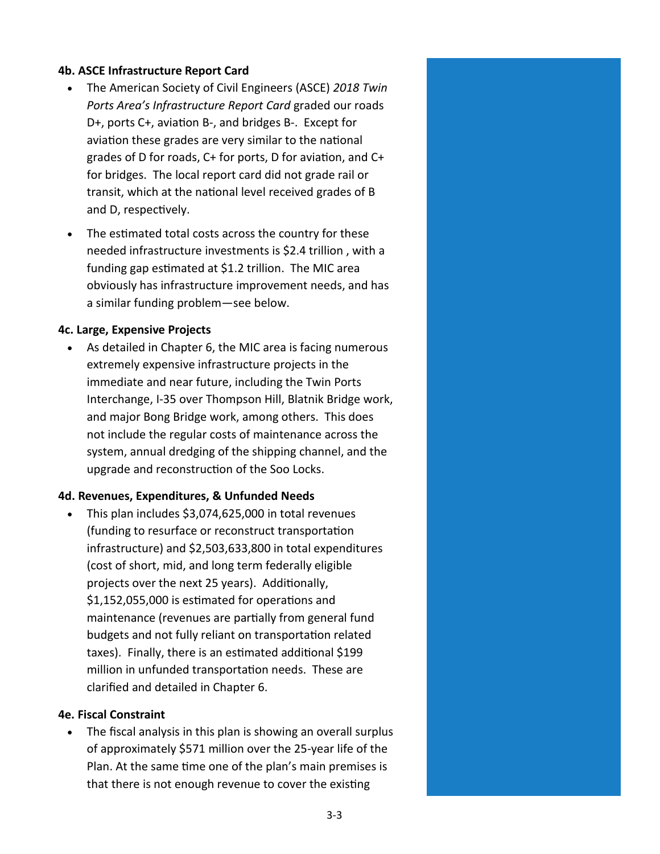#### **4b. ASCE Infrastructure Report Card**

- The American Society of Civil Engineers (ASCE) *2018 Twin Ports Area's Infrastructure Report Card* graded our roads D+, ports C+, aviation B-, and bridges B-. Except for aviation these grades are very similar to the national grades of D for roads, C+ for ports, D for aviation, and C+ for bridges. The local report card did not grade rail or transit, which at the national level received grades of B and D, respectively.
- The estimated total costs across the country for these needed infrastructure investments is \$2.4 trillion , with a funding gap estimated at \$1.2 trillion. The MIC area obviously has infrastructure improvement needs, and has a similar funding problem—see below.

#### **4c. Large, Expensive Projects**

As detailed in Chapter 6, the MIC area is facing numerous extremely expensive infrastructure projects in the immediate and near future, including the Twin Ports Interchange, I-35 over Thompson Hill, Blatnik Bridge work, and major Bong Bridge work, among others. This does not include the regular costs of maintenance across the system, annual dredging of the shipping channel, and the upgrade and reconstruction of the Soo Locks.

#### **4d. Revenues, Expenditures, & Unfunded Needs**

• This plan includes \$3,074,625,000 in total revenues (funding to resurface or reconstruct transportation infrastructure) and \$2,503,633,800 in total expenditures (cost of short, mid, and long term federally eligible projects over the next 25 years). Additionally, \$1,152,055,000 is estimated for operations and maintenance (revenues are partially from general fund budgets and not fully reliant on transportation related taxes). Finally, there is an estimated additional \$199 million in unfunded transportation needs. These are clarified and detailed in Chapter 6.

#### **4e. Fiscal Constraint**

• The fiscal analysis in this plan is showing an overall surplus of approximately \$571 million over the 25-year life of the Plan. At the same time one of the plan's main premises is that there is not enough revenue to cover the existing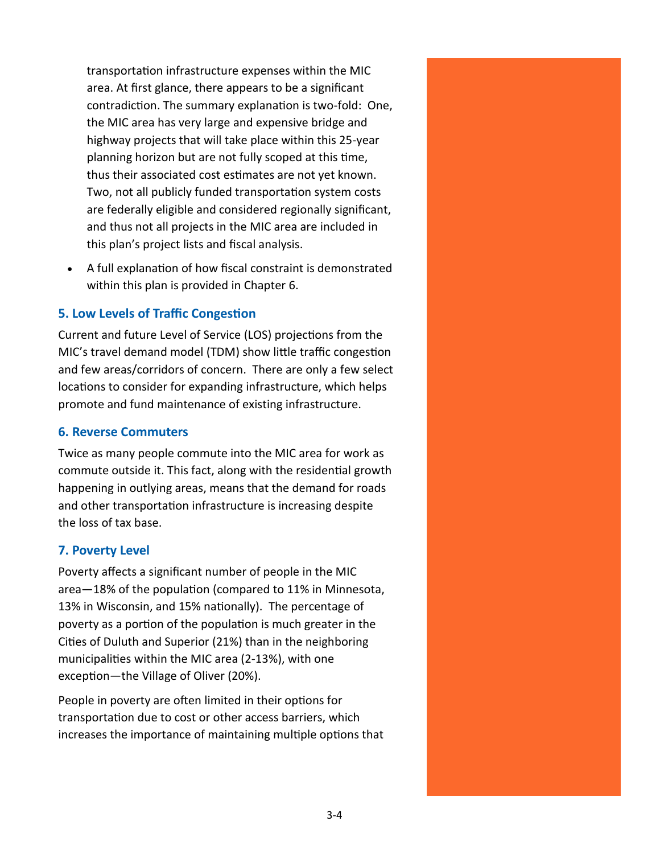transportation infrastructure expenses within the MIC area. At first glance, there appears to be a significant contradiction. The summary explanation is two-fold: One, the MIC area has very large and expensive bridge and highway projects that will take place within this 25-year planning horizon but are not fully scoped at this time, thus their associated cost estimates are not yet known. Two, not all publicly funded transportation system costs are federally eligible and considered regionally significant, and thus not all projects in the MIC area are included in this plan's project lists and fiscal analysis.

• A full explanation of how fiscal constraint is demonstrated within this plan is provided in Chapter 6.

# **5. Low Levels of Traffic Congestion**

Current and future Level of Service (LOS) projections from the MIC's travel demand model (TDM) show little traffic congestion and few areas/corridors of concern. There are only a few select locations to consider for expanding infrastructure, which helps promote and fund maintenance of existing infrastructure.

#### **6. Reverse Commuters**

Twice as many people commute into the MIC area for work as commute outside it. This fact, along with the residential growth happening in outlying areas, means that the demand for roads and other transportation infrastructure is increasing despite the loss of tax base.

### **7. Poverty Level**

Poverty affects a significant number of people in the MIC area—18% of the population (compared to 11% in Minnesota, 13% in Wisconsin, and 15% nationally). The percentage of poverty as a portion of the population is much greater in the Cities of Duluth and Superior (21%) than in the neighboring municipalities within the MIC area (2-13%), with one exception—the Village of Oliver (20%).

People in poverty are often limited in their options for transportation due to cost or other access barriers, which increases the importance of maintaining multiple options that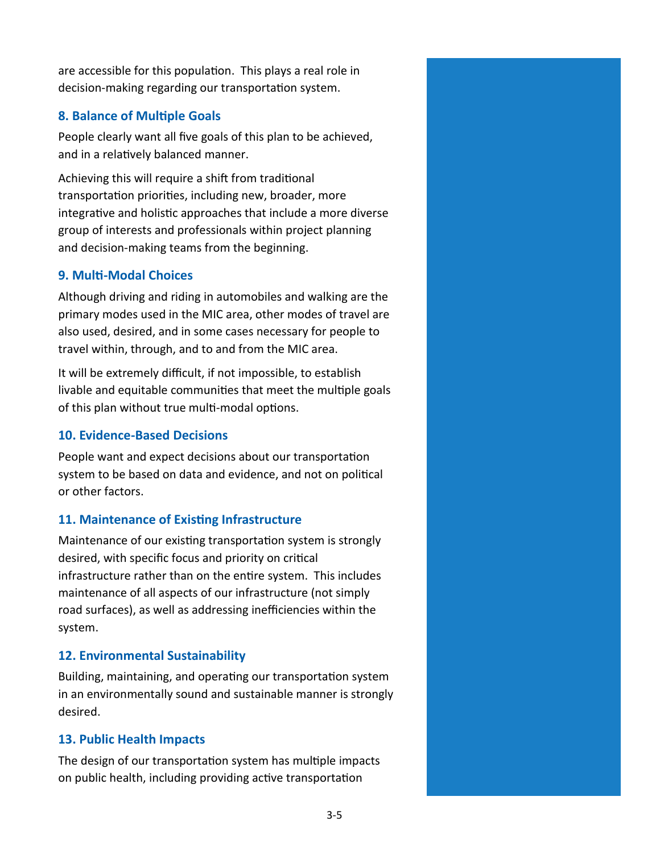are accessible for this population. This plays a real role in decision-making regarding our transportation system.

# **8. Balance of Multiple Goals**

People clearly want all five goals of this plan to be achieved, and in a relatively balanced manner.

Achieving this will require a shift from traditional transportation priorities, including new, broader, more integrative and holistic approaches that include a more diverse group of interests and professionals within project planning and decision-making teams from the beginning.

### **9. Multi-Modal Choices**

Although driving and riding in automobiles and walking are the primary modes used in the MIC area, other modes of travel are also used, desired, and in some cases necessary for people to travel within, through, and to and from the MIC area.

It will be extremely difficult, if not impossible, to establish livable and equitable communities that meet the multiple goals of this plan without true multi-modal options.

### **10. Evidence-Based Decisions**

People want and expect decisions about our transportation system to be based on data and evidence, and not on political or other factors.

### **11. Maintenance of Existing Infrastructure**

Maintenance of our existing transportation system is strongly desired, with specific focus and priority on critical infrastructure rather than on the entire system. This includes maintenance of all aspects of our infrastructure (not simply road surfaces), as well as addressing inefficiencies within the system.

# **12. Environmental Sustainability**

Building, maintaining, and operating our transportation system in an environmentally sound and sustainable manner is strongly desired.

### **13. Public Health Impacts**

The design of our transportation system has multiple impacts on public health, including providing active transportation